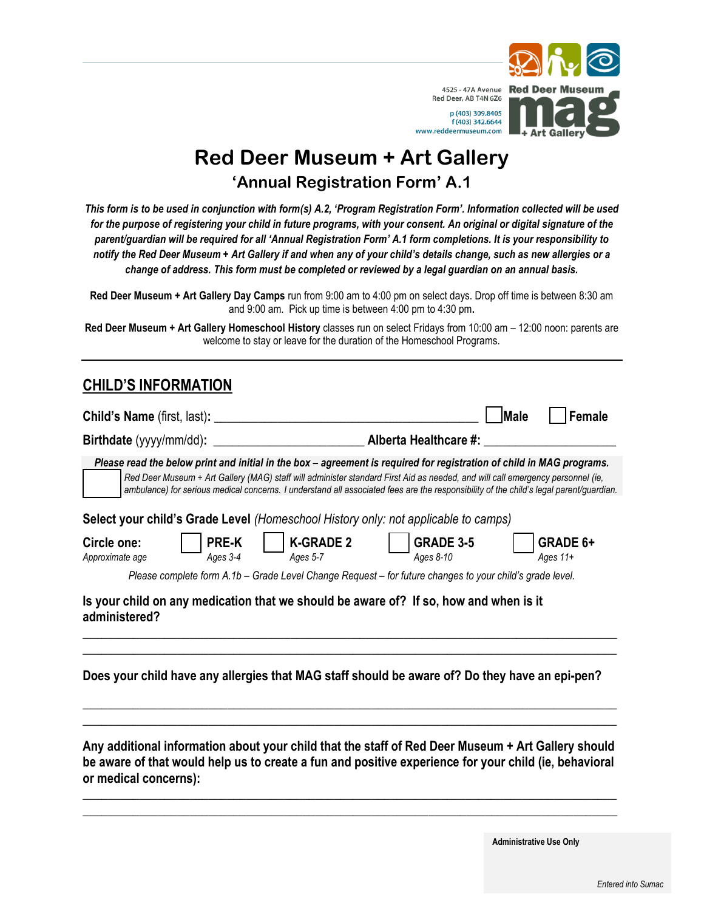

## **Red Deer Museum + Art Gallery 'Annual Registration Form' A.1**

*This form is to be used in conjunction with form(s) A.2, 'Program Registration Form'. Information collected will be used for the purpose of registering your child in future programs, with your consent. An original or digital signature of the parent/guardian will be required for all 'Annual Registration Form' A.1 form completions. It is your responsibility to notify the Red Deer Museum + Art Gallery if and when any of your child's details change, such as new allergies or a change of address. This form must be completed or reviewed by a legal guardian on an annual basis.*

**Red Deer Museum + Art Gallery Day Camps** run from 9:00 am to 4:00 pm on select days. Drop off time is between 8:30 am and 9:00 am. Pick up time is between 4:00 pm to 4:30 pm**.** 

**Red Deer Museum + Art Gallery Homeschool History** classes run on select Fridays from 10:00 am – 12:00 noon: parents are welcome to stay or leave for the duration of the Homeschool Programs.

#### **CHILD'S INFORMATION**

|                                |                          |                              |                                                                                                                                                                                                                                                                                                                                                                                                                                                                                         | lMale | Female                 |
|--------------------------------|--------------------------|------------------------------|-----------------------------------------------------------------------------------------------------------------------------------------------------------------------------------------------------------------------------------------------------------------------------------------------------------------------------------------------------------------------------------------------------------------------------------------------------------------------------------------|-------|------------------------|
|                                |                          |                              |                                                                                                                                                                                                                                                                                                                                                                                                                                                                                         |       |                        |
|                                |                          |                              | Please read the below print and initial in the box - agreement is required for registration of child in MAG programs.<br>Red Deer Museum + Art Gallery (MAG) staff will administer standard First Aid as needed, and will call emergency personnel (ie,<br>ambulance) for serious medical concerns. I understand all associated fees are the responsibility of the child's legal parent/guardian.<br>Select your child's Grade Level (Homeschool History only: not applicable to camps) |       |                        |
| Circle one:<br>Approximate age | <b>PRE-K</b><br>Ages 3-4 | <b>K-GRADE 2</b><br>Ages 5-7 | <b>GRADE 3-5</b><br>Ages 8-10                                                                                                                                                                                                                                                                                                                                                                                                                                                           |       | GRADE 6+<br>Ages $11+$ |
|                                |                          |                              | Please complete form A.1b – Grade Level Change Request – for future changes to your child's grade level.                                                                                                                                                                                                                                                                                                                                                                                |       |                        |
| administered?                  |                          |                              | Is your child on any medication that we should be aware of? If so, how and when is it                                                                                                                                                                                                                                                                                                                                                                                                   |       |                        |
|                                |                          |                              | Does your child have any allergies that MAG staff should be aware of? Do they have an epi-pen?                                                                                                                                                                                                                                                                                                                                                                                          |       |                        |
| or medical concerns):          |                          |                              | Any additional information about your child that the staff of Red Deer Museum + Art Gallery should<br>be aware of that would help us to create a fun and positive experience for your child (ie, behavioral                                                                                                                                                                                                                                                                             |       |                        |

**Administrative Use Only**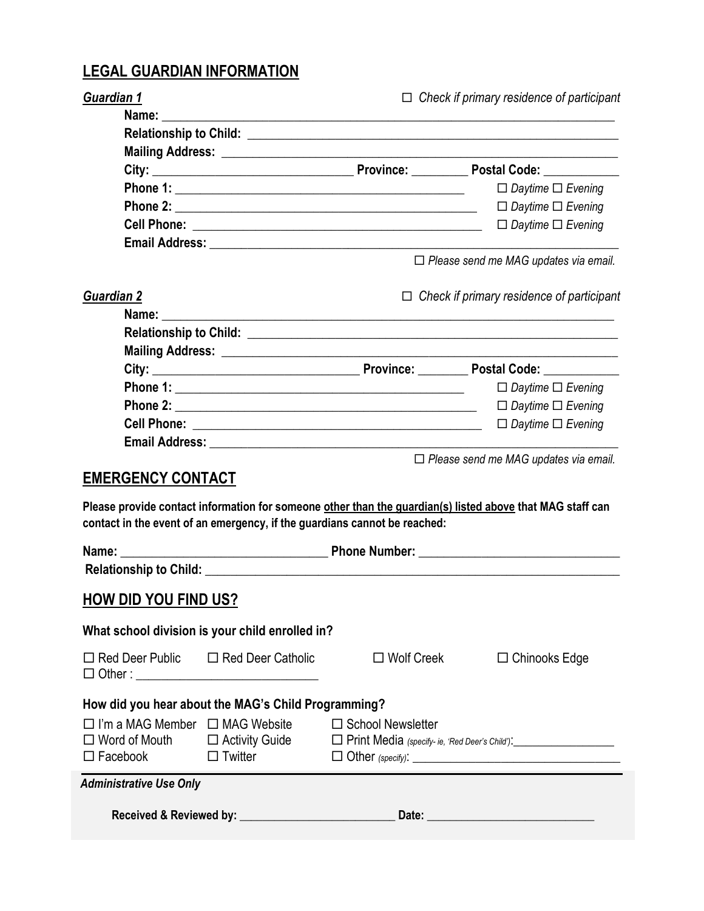# **LEGAL GUARDIAN INFORMATION**

| <b>Guardian 1</b>                                                                                                                                                                                      | $\Box$ Check if primary residence of participant                          |  |                                                                                                           |
|--------------------------------------------------------------------------------------------------------------------------------------------------------------------------------------------------------|---------------------------------------------------------------------------|--|-----------------------------------------------------------------------------------------------------------|
|                                                                                                                                                                                                        |                                                                           |  |                                                                                                           |
|                                                                                                                                                                                                        |                                                                           |  |                                                                                                           |
|                                                                                                                                                                                                        |                                                                           |  |                                                                                                           |
|                                                                                                                                                                                                        |                                                                           |  | $\Box$ Daytime $\Box$ Evening                                                                             |
|                                                                                                                                                                                                        |                                                                           |  | $\Box$ Daytime $\Box$ Evening                                                                             |
|                                                                                                                                                                                                        |                                                                           |  | $\Box$ Daytime $\Box$ Evening                                                                             |
|                                                                                                                                                                                                        |                                                                           |  |                                                                                                           |
|                                                                                                                                                                                                        |                                                                           |  | □ Please send me MAG updates via email.                                                                   |
| Guardian 2                                                                                                                                                                                             |                                                                           |  | $\Box$ Check if primary residence of participant                                                          |
|                                                                                                                                                                                                        |                                                                           |  |                                                                                                           |
|                                                                                                                                                                                                        |                                                                           |  |                                                                                                           |
|                                                                                                                                                                                                        |                                                                           |  |                                                                                                           |
|                                                                                                                                                                                                        |                                                                           |  |                                                                                                           |
|                                                                                                                                                                                                        |                                                                           |  | $\Box$ Daytime $\Box$ Evening                                                                             |
|                                                                                                                                                                                                        |                                                                           |  | $\Box$ Daytime $\Box$ Evening                                                                             |
|                                                                                                                                                                                                        |                                                                           |  |                                                                                                           |
|                                                                                                                                                                                                        |                                                                           |  |                                                                                                           |
| <b>EMERGENCY CONTACT</b>                                                                                                                                                                               | contact in the event of an emergency, if the guardians cannot be reached: |  | Please provide contact information for someone other than the guardian(s) listed above that MAG staff can |
| Name:                                                                                                                                                                                                  |                                                                           |  | <b>Example 2018</b> Phone Number: <b>Contract 2018</b> Phone Number:                                      |
|                                                                                                                                                                                                        |                                                                           |  |                                                                                                           |
| <b>HOW DID YOU FIND US?</b>                                                                                                                                                                            |                                                                           |  |                                                                                                           |
|                                                                                                                                                                                                        | What school division is your child enrolled in?                           |  |                                                                                                           |
|                                                                                                                                                                                                        | $\Box$ Red Deer Public $\Box$ Red Deer Catholic $\Box$ Wolf Creek         |  | $\Box$ Chinooks Edge                                                                                      |
|                                                                                                                                                                                                        | How did you hear about the MAG's Child Programming?                       |  |                                                                                                           |
| $\Box$ I'm a MAG Member $\Box$ MAG Website $\Box$ School Newsletter<br>□ Word of Mouth □ Activity Guide □ Print Media (specify- ie, 'Red Deer's Child'):<br>□ 도 ::::<br>$\Box$ Facebook $\Box$ Twitter |                                                                           |  | $\Box$ Other (specify): $\Box$                                                                            |
| <b>Administrative Use Only</b>                                                                                                                                                                         |                                                                           |  |                                                                                                           |
|                                                                                                                                                                                                        |                                                                           |  |                                                                                                           |
|                                                                                                                                                                                                        |                                                                           |  |                                                                                                           |